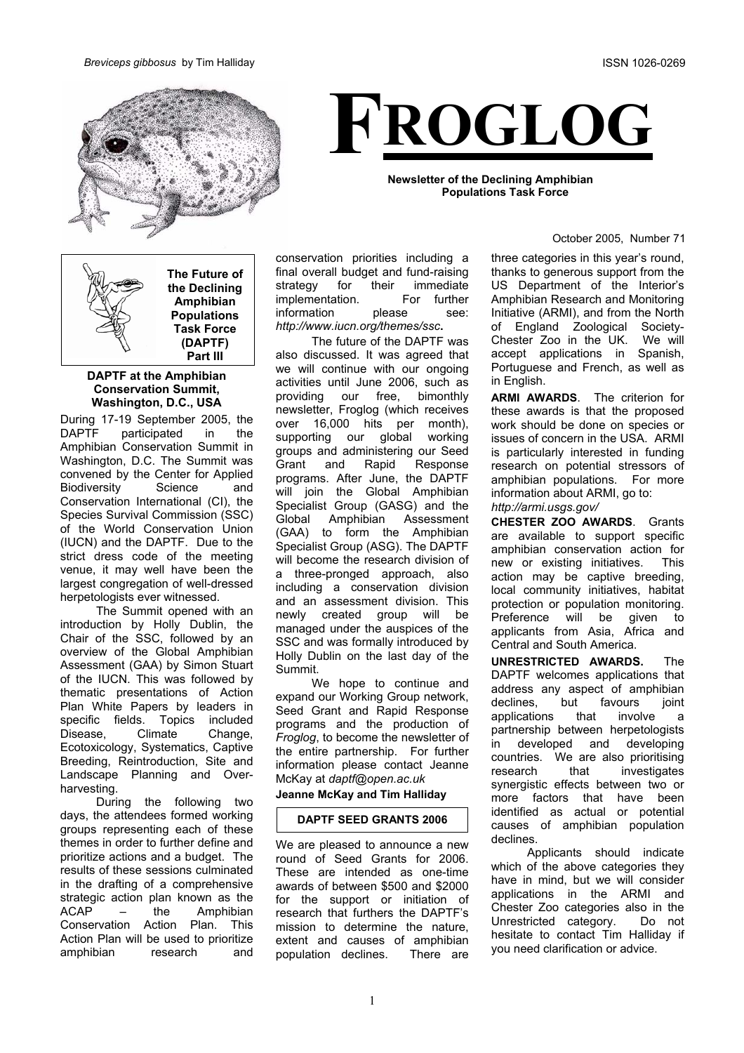

# **FROGLOG**

**Newsletter of the Declining Amphibian Populations Task Force**

#### October 2005, Number 71

**The Future of the Declining Amphibian Populations Task Force (DAPTF) Part III**

#### **DAPTF at the Amphibian Conservation Summit, Washington, D.C., USA**

During 17-19 September 2005, the DAPTF participated in the Amphibian Conservation Summit in Washington, D.C. The Summit was convened by the Center for Applied Biodiversity Science and Conservation International (CI), the Species Survival Commission (SSC) of the World Conservation Union (IUCN) and the DAPTF. Due to the strict dress code of the meeting venue, it may well have been the largest congregation of well-dressed herpetologists ever witnessed.

The Summit opened with an introduction by Holly Dublin, the Chair of the SSC, followed by an overview of the Global Amphibian Assessment (GAA) by Simon Stuart of the IUCN. This was followed by thematic presentations of Action Plan White Papers by leaders in specific fields. Topics included Disease, Climate Change, Ecotoxicology, Systematics, Captive Breeding, Reintroduction, Site and Landscape Planning and Overharvesting.

During the following two days, the attendees formed working groups representing each of these themes in order to further define and prioritize actions and a budget. The results of these sessions culminated in the drafting of a comprehensive strategic action plan known as the ACAP – the Amphibian Conservation Action Plan. This Action Plan will be used to prioritize amphibian research and

conservation priorities including a final overall budget and fund-raising strategy for their immediate implementation. For further information please see: *http://www.iucn.org/themes/ssc***.**

The future of the DAPTF was also discussed. It was agreed that we will continue with our ongoing activities until June 2006, such as providing our free, bimonthly newsletter, Froglog (which receives over 16,000 hits per month), supporting our global working groups and administering our Seed Grant and Rapid Response programs. After June, the DAPTF will join the Global Amphibian Specialist Group (GASG) and the Global Amphibian Assessment (GAA) to form the Amphibian Specialist Group (ASG). The DAPTF will become the research division of a three-pronged approach, also including a conservation division and an assessment division. This newly created group will be managed under the auspices of the SSC and was formally introduced by Holly Dublin on the last day of the Summit.

We hope to continue and expand our Working Group network, Seed Grant and Rapid Response programs and the production of *Froglog*, to become the newsletter of the entire partnership. For further information please contact Jeanne McKay at *daptf@open.ac.uk*

# **Jeanne McKay and Tim Halliday**

#### **DAPTF SEED GRANTS 2006**

We are pleased to announce a new round of Seed Grants for 2006. These are intended as one-time awards of between \$500 and \$2000 for the support or initiation of research that furthers the DAPTF's mission to determine the nature, extent and causes of amphibian population declines. There are

three categories in this year's round, thanks to generous support from the US Department of the Interior's Amphibian Research and Monitoring Initiative (ARMI), and from the North of England Zoological Society-Chester Zoo in the UK. We will accept applications in Spanish, Portuguese and French, as well as in English.

**ARMI AWARDS**. The criterion for these awards is that the proposed work should be done on species or issues of concern in the USA. ARMI is particularly interested in funding research on potential stressors of amphibian populations. For more information about ARMI, go to: *http://armi.usgs.gov/* 

**CHESTER ZOO AWARDS**. Grants are available to support specific amphibian conservation action for new or existing initiatives. This action may be captive breeding, local community initiatives, habitat protection or population monitoring. Preference will be given to applicants from Asia, Africa and Central and South America.

**UNRESTRICTED AWARDS.** The DAPTF welcomes applications that address any aspect of amphibian declines, but favours joint applications that involve a partnership between herpetologists in developed and developing countries. We are also prioritising research that investigates synergistic effects between two or more factors that have been identified as actual or potential causes of amphibian population declines.

Applicants should indicate which of the above categories they have in mind, but we will consider applications in the ARMI and Chester Zoo categories also in the Unrestricted category. Do not hesitate to contact Tim Halliday if you need clarification or advice.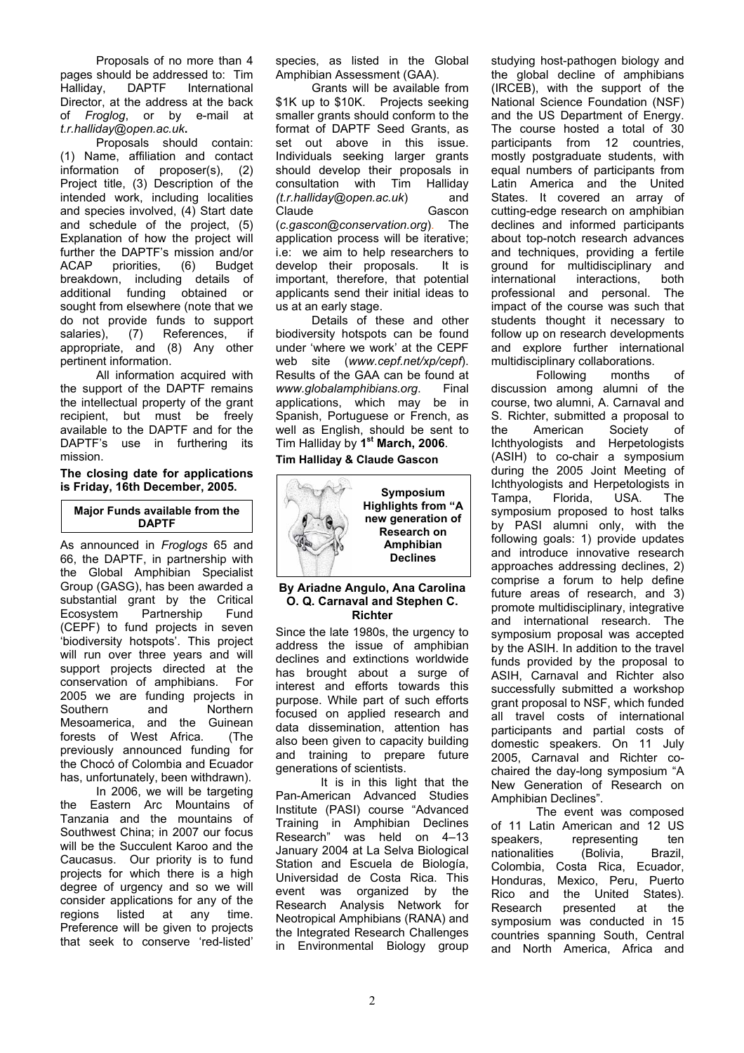Proposals of no more than 4 pages should be addressed to: Tim<br>Hallidav. DAPTF International Halliday, DAPTF International Director, at the address at the back of *Froglog*, or by e-mail at *t.r.halliday@open.ac.uk***.** 

Proposals should contain: (1) Name, affiliation and contact information of proposer(s), (2) Project title, (3) Description of the intended work, including localities and species involved, (4) Start date and schedule of the project, (5) Explanation of how the project will further the DAPTF's mission and/or ACAP priorities, (6) Budget breakdown, including details of additional funding obtained or sought from elsewhere (note that we do not provide funds to support salaries), (7) References, if appropriate, and (8) Any other pertinent information.

All information acquired with the support of the DAPTF remains the intellectual property of the grant recipient, but must be freely available to the DAPTF and for the DAPTF's use in furthering its mission.

#### **The closing date for applications is Friday, 16th December, 2005.**

# **Major Funds available from the DAPTF**

As announced in *Froglogs* 65 and 66, the DAPTF, in partnership with the Global Amphibian Specialist Group (GASG), has been awarded a substantial grant by the Critical Ecosystem Partnership Fund (CEPF) to fund projects in seven 'biodiversity hotspots'. This project will run over three years and will support projects directed at the conservation of amphibians. For 2005 we are funding projects in Southern and Northern Mesoamerica, and the Guinean forests of West Africa. (The previously announced funding for the Chocó of Colombia and Ecuador has, unfortunately, been withdrawn). In 2006, we will be targeting the Eastern Arc Mountains of Tanzania and the mountains of Southwest China; in 2007 our focus will be the Succulent Karoo and the Caucasus. Our priority is to fund projects for which there is a high degree of urgency and so we will consider applications for any of the

regions listed at any time. Preference will be given to projects that seek to conserve 'red-listed'

species, as listed in the Global Amphibian Assessment (GAA).

Grants will be available from \$1K up to \$10K. Projects seeking smaller grants should conform to the format of DAPTF Seed Grants, as set out above in this issue. Individuals seeking larger grants should develop their proposals in consultation with Tim Halliday *(t.r.halliday@open.ac.uk*) and Claude Gascon (*c.gascon@conservation.org*). The application process will be iterative; i.e: we aim to help researchers to develop their proposals. It is important, therefore, that potential applicants send their initial ideas to us at an early stage.

Details of these and other biodiversity hotspots can be found under 'where we work' at the CEPF web site (*www.cepf.net/xp/cepf*). Results of the GAA can be found at *www.globalamphibians.org*. Final applications, which may be in Spanish, Portuguese or French, as well as English, should be sent to Tim Halliday by **1st March, 2006**.

# **Tim Halliday & Claude Gascon**



### **By Ariadne Angulo, Ana Carolina O. Q. Carnaval and Stephen C. Richter**

Since the late 1980s, the urgency to address the issue of amphibian declines and extinctions worldwide has brought about a surge of interest and efforts towards this purpose. While part of such efforts focused on applied research and data dissemination, attention has also been given to capacity building and training to prepare future generations of scientists.

It is in this light that the Pan-American Advanced Studies Institute (PASI) course "Advanced Training in Amphibian Declines Research" was held on 4–13 January 2004 at La Selva Biological Station and Escuela de Biología, Universidad de Costa Rica. This event was organized by the Research Analysis Network for Neotropical Amphibians (RANA) and the Integrated Research Challenges in Environmental Biology group studying host-pathogen biology and the global decline of amphibians (IRCEB), with the support of the National Science Foundation (NSF) and the US Department of Energy. The course hosted a total of 30 participants from 12 countries, mostly postgraduate students, with equal numbers of participants from Latin America and the United States. It covered an array of cutting-edge research on amphibian declines and informed participants about top-notch research advances and techniques, providing a fertile ground for multidisciplinary and international interactions, both professional and personal. The impact of the course was such that students thought it necessary to follow up on research developments and explore further international multidisciplinary collaborations.

Following months of discussion among alumni of the course, two alumni, A. Carnaval and S. Richter, submitted a proposal to the American Society of Ichthyologists and Herpetologists (ASIH) to co-chair a symposium during the 2005 Joint Meeting of Ichthyologists and Herpetologists in Tampa, Florida, USA. The symposium proposed to host talks by PASI alumni only, with the following goals: 1) provide updates and introduce innovative research approaches addressing declines, 2) comprise a forum to help define future areas of research, and 3) promote multidisciplinary, integrative and international research. The symposium proposal was accepted by the ASIH. In addition to the travel funds provided by the proposal to ASIH, Carnaval and Richter also successfully submitted a workshop grant proposal to NSF, which funded all travel costs of international participants and partial costs of domestic speakers. On 11 July 2005, Carnaval and Richter cochaired the day-long symposium "A New Generation of Research on Amphibian Declines".

The event was composed of 11 Latin American and 12 US speakers, representing ten<br>nationalities (Bolivia, Brazil, nationalities (Bolivia, Colombia, Costa Rica, Ecuador, Honduras, Mexico, Peru, Puerto Rico and the United States). Research presented at the symposium was conducted in 15 countries spanning South, Central and North America, Africa and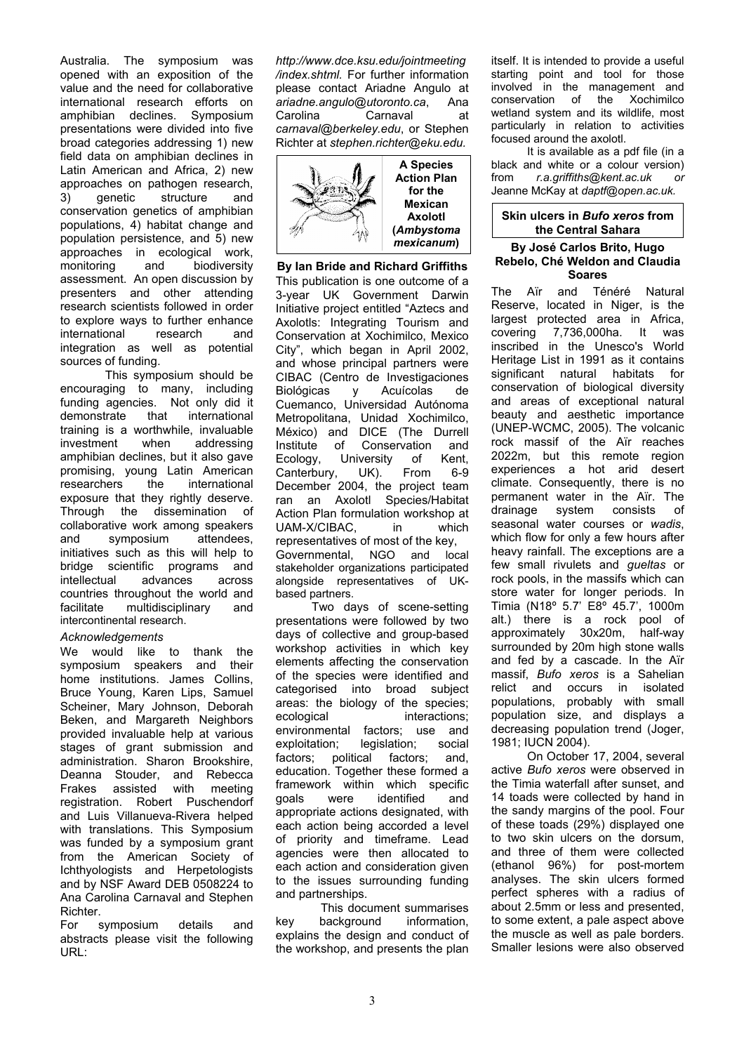Australia. The symposium was opened with an exposition of the value and the need for collaborative international research efforts on amphibian declines. Symposium presentations were divided into five broad categories addressing 1) new field data on amphibian declines in Latin American and Africa, 2) new approaches on pathogen research, 3) genetic structure and conservation genetics of amphibian populations, 4) habitat change and population persistence, and 5) new approaches in ecological work, monitoring and biodiversity assessment. An open discussion by presenters and other attending research scientists followed in order to explore ways to further enhance international research and integration as well as potential sources of funding.

This symposium should be encouraging to many, including funding agencies. Not only did it demonstrate that international training is a worthwhile, invaluable<br>investment when addressing addressing amphibian declines, but it also gave promising, young Latin American researchers the international exposure that they rightly deserve. Through the dissemination of collaborative work among speakers and symposium attendees, initiatives such as this will help to bridge scientific programs and intellectual advances across countries throughout the world and facilitate multidisciplinary and intercontinental research.

## *Acknowledgements*

We would like to thank the symposium speakers and their home institutions. James Collins, Bruce Young, Karen Lips, Samuel Scheiner, Mary Johnson, Deborah Beken, and Margareth Neighbors provided invaluable help at various stages of grant submission and administration. Sharon Brookshire, Deanna Stouder, and Rebecca<br>Frakes assisted with meeting assisted with meeting registration. Robert Puschendorf and Luis Villanueva-Rivera helped with translations. This Symposium was funded by a symposium grant from the American Society of Ichthyologists and Herpetologists and by NSF Award DEB 0508224 to Ana Carolina Carnaval and Stephen Richter.

For symposium details and abstracts please visit the following URL:

*http://www.dce.ksu.edu/jointmeeting /index.shtml.* For further information please contact Ariadne Angulo at *ariadne.angulo@utoronto.ca*, Ana Carolina Carnaval at *carnaval@berkeley.edu*, or Stephen Richter at *stephen.richter@eku.edu.* 



### **By Ian Bride and Richard Griffiths**

This publication is one outcome of a 3-year UK Government Darwin Initiative project entitled "Aztecs and Axolotls: Integrating Tourism and Conservation at Xochimilco, Mexico City", which began in April 2002, and whose principal partners were CIBAC (Centro de Investigaciones Biológicas y Acuícolas de Cuemanco, Universidad Autónoma Metropolitana, Unidad Xochimilco, México) and DICE (The Durrell Institute of Conservation and Ecology, University of Kent, Canterbury, UK). From 6-9 December 2004, the project team ran an Axolotl Species/Habitat Action Plan formulation workshop at UAM-X/CIBAC, in which representatives of most of the key, Governmental, NGO and local stakeholder organizations participated alongside representatives of UKbased partners.

Two days of scene-setting presentations were followed by two days of collective and group-based workshop activities in which key elements affecting the conservation of the species were identified and categorised into broad subject areas: the biology of the species; ecological interactions: environmental factors; use and exploitation; legislation; social factors; political factors; and, education. Together these formed a framework within which specific goals were identified and appropriate actions designated, with each action being accorded a level of priority and timeframe. Lead agencies were then allocated to each action and consideration given to the issues surrounding funding and partnerships.

This document summarises key background information, explains the design and conduct of the workshop, and presents the plan itself. It is intended to provide a useful starting point and tool for those involved in the management and conservation of the Xochimilco wetland system and its wildlife, most particularly in relation to activities focused around the axolotl.

It is available as a pdf file (in a black and white or a colour version) from *r.a.griffiths@kent.ac.uk or*  Jeanne McKay at *daptf@open.ac.uk.* 

#### **Skin ulcers in** *Bufo xeros* **from the Central Sahara**

### **By José Carlos Brito, Hugo Rebelo, Ché Weldon and Claudia Soares**

The Aïr and Ténéré Natural Reserve, located in Niger, is the largest protected area in Africa, covering 7,736,000ha. It was inscribed in the Unesco's World Heritage List in 1991 as it contains significant natural habitats for conservation of biological diversity and areas of exceptional natural beauty and aesthetic importance (UNEP-WCMC, 2005). The volcanic rock massif of the Aïr reaches 2022m, but this remote region experiences a hot arid desert climate. Consequently, there is no permanent water in the Aïr. The drainage system consists of seasonal water courses or *wadis*, which flow for only a few hours after heavy rainfall. The exceptions are a few small rivulets and *gueltas* or rock pools, in the massifs which can store water for longer periods. In Timia (N18º 5.7' E8º 45.7', 1000m alt.) there is a rock pool of approximately 30x20m, half-way surrounded by 20m high stone walls and fed by a cascade. In the Aïr massif, *Bufo xeros* is a Sahelian relict and occurs in isolated populations, probably with small population size, and displays a decreasing population trend (Joger, 1981; IUCN 2004).

On October 17, 2004, several active *Bufo xeros* were observed in the Timia waterfall after sunset, and 14 toads were collected by hand in the sandy margins of the pool. Four of these toads (29%) displayed one to two skin ulcers on the dorsum, and three of them were collected (ethanol 96%) for post-mortem analyses. The skin ulcers formed perfect spheres with a radius of about 2.5mm or less and presented, to some extent, a pale aspect above the muscle as well as pale borders. Smaller lesions were also observed